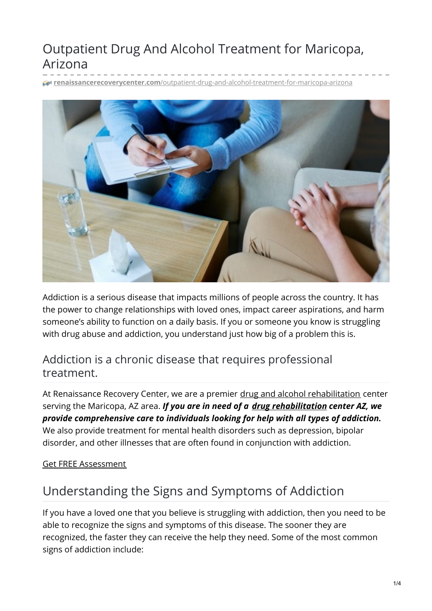# Outpatient Drug And Alcohol Treatment for Maricopa, Arizona

**renaissancerecoverycenter.com**[/outpatient-drug-and-alcohol-treatment-for-maricopa-arizona](https://www.renaissancerecoverycenter.com/outpatient-drug-and-alcohol-treatment-for-maricopa-arizona/)



Addiction is a serious disease that impacts millions of people across the country. It has the power to change relationships with loved ones, impact career aspirations, and harm someone's ability to function on a daily basis. If you or someone you know is struggling with drug abuse and addiction, you understand just how big of a problem this is.

### Addiction is a chronic disease that requires professional treatment.

At Renaissance Recovery Center, we are a premier drug and alcohol [rehabilitation](https://www.renaissancerecoverycenter.com/about-us/) center serving the Maricopa, AZ area. *If you are in need of a drug [rehabilitation](https://www.renaissancerecoverycenter.com/arizona-drug-rehabilitation/) center AZ, we provide comprehensive care to individuals looking for help with all types of addiction.* We also provide treatment for mental health disorders such as depression, bipolar disorder, and other illnesses that are often found in conjunction with addiction.

#### Get FREE [Assessment](tel:480-526-7738)

## Understanding the Signs and Symptoms of Addiction

If you have a loved one that you believe is struggling with addiction, then you need to be able to recognize the signs and symptoms of this disease. The sooner they are recognized, the faster they can receive the help they need. Some of the most common signs of addiction include: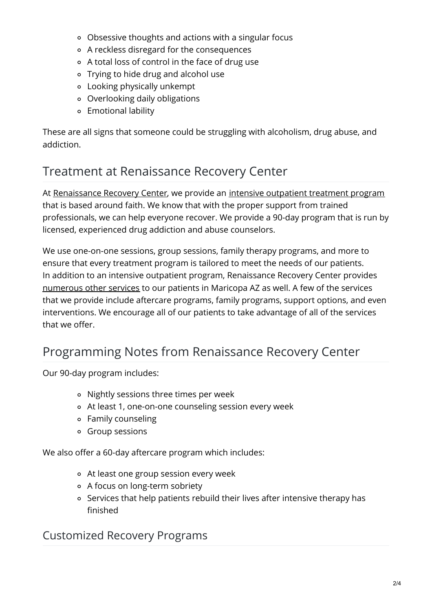- Obsessive thoughts and actions with a singular focus
- A reckless disregard for the consequences
- A total loss of control in the face of drug use
- Trying to hide drug and alcohol use
- Looking physically unkempt
- Overlooking daily obligations
- Emotional lability

These are all signs that someone could be struggling with alcoholism, drug abuse, and addiction.

## Treatment at Renaissance Recovery Center

At [Renaissance](https://www.renaissancerecoverycenter.com/about-us/the-renaissance-recovery-difference/) Recovery Center, we provide an intensive [outpatient](https://www.renaissancerecoverycenter.com/arizona-drug-rehabilitation/) treatment program that is based around faith. We know that with the proper support from trained professionals, we can help everyone recover. We provide a 90-day program that is run by licensed, experienced drug addiction and abuse counselors.

We use one-on-one sessions, group sessions, family therapy programs, and more to ensure that every treatment program is tailored to meet the needs of our patients. In addition to an intensive outpatient program, Renaissance Recovery Center provides [numerous](https://www.renaissancerecoverycenter.com/programs-and-services/) other services to our patients in Maricopa AZ as well. A few of the services that we provide include aftercare programs, family programs, support options, and even interventions. We encourage all of our patients to take advantage of all of the services that we offer.

## Programming Notes from Renaissance Recovery Center

Our 90-day program includes:

- Nightly sessions three times per week
- At least 1, one-on-one counseling session every week
- Family counseling
- Group sessions

We also offer a 60-day aftercare program which includes:

- At least one group session every week
- A focus on long-term sobriety
- Services that help patients rebuild their lives after intensive therapy has finished

#### Customized Recovery Programs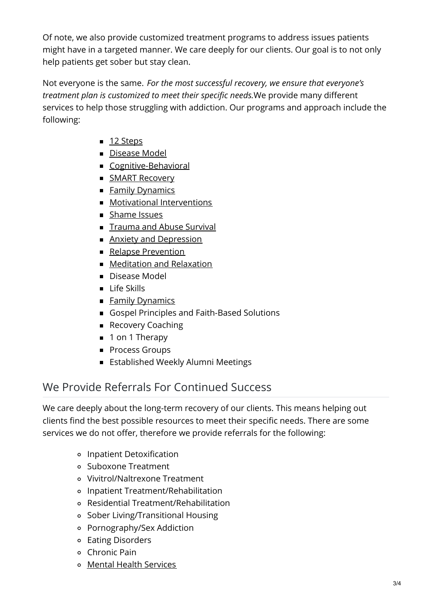Of note, we also provide customized treatment programs to address issues patients might have in a targeted manner. We care deeply for our clients. Our goal is to not only help patients get sober but stay clean.

Not everyone is the same. *For the most successful recovery, we ensure that everyone's treatment plan is customized to meet their specific needs.*We provide many different services to help those struggling with addiction. Our programs and approach include the following:

- 12 [Steps](https://www.renaissancerecoverycenter.com/about-us/the-12-step-program/)
- [Disease](https://www.renaissancerecoverycenter.com/about-us/the-disease-model-of-addiction/) Model
- [Cognitive-Behavioral](https://www.renaissancerecoverycenter.com/outpatient-treatment/cognitive-behavioral-therapy/)
- **SMART [Recovery](https://www.renaissancerecoverycenter.com/outpatient-treatment/smart-recovery/)**
- **Family [Dynamics](https://www.renaissancerecoverycenter.com/outpatient-treatment/family-dynamics/)**
- **Motivational [Interventions](https://www.renaissancerecoverycenter.com/outpatient-treatment/motivational-interventions/)**
- [Shame](https://www.renaissancerecoverycenter.com/shame-issues/) Issues
- **[Trauma](https://www.renaissancerecoverycenter.com/outpatient-treatment/trauma-abuse-addiction/) and Abuse Survival**
- **Anxiety and [Depression](https://www.renaissancerecoverycenter.com/outpatient-treatment/anxiety-depression-addiction/)**
- **Relapse [Prevention](https://www.renaissancerecoverycenter.com/outpatient-treatment/relapse-prevention/)**
- [Meditation](https://www.renaissancerecoverycenter.com/outpatient-treatment/meditation-relaxation/) and Relaxation
- Disease Model
- **Life Skills**
- Family [Dynamics](https://www.renaissancerecoverycenter.com/family-program/)
- Gospel Principles and Faith-Based Solutions
- Recovery Coaching
- 1 on 1 Therapy
- **Process Groups**
- **Established Weekly Alumni Meetings**

## We Provide Referrals For Continued Success

We care deeply about the long-term recovery of our clients. This means helping out clients find the best possible resources to meet their specific needs. There are some services we do not offer, therefore we provide referrals for the following:

- Inpatient Detoxification
- Suboxone Treatment
- Vivitrol/Naltrexone Treatment
- Inpatient Treatment/Rehabilitation
- Residential Treatment/Rehabilitation
- Sober Living/Transitional Housing
- Pornography/Sex Addiction
- Eating Disorders
- Chronic Pain
- Mental Health [Services](https://www.renaissancerecoverycenter.com/mental-health-and-dual-diagnosis/)